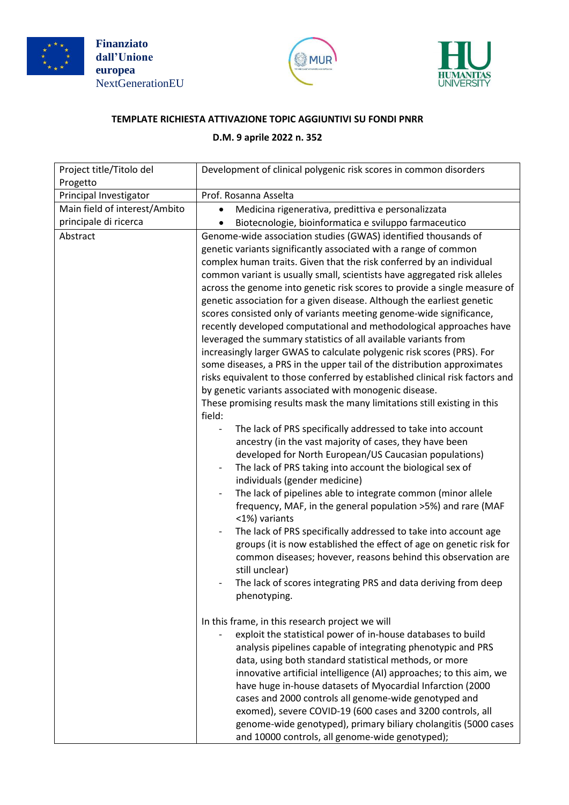





## **TEMPLATE RICHIESTA ATTIVAZIONE TOPIC AGGIUNTIVI SU FONDI PNRR**

## **D.M. 9 aprile 2022 n. 352**

| Project title/Titolo del<br>Progetto | Development of clinical polygenic risk scores in common disorders                                                                                                                                                                                                                                                                                                                                                                                                                                                                                                                                                                                                                                                                                                                                                                                                                                                                                                                                                                                                                                                                                                                                                                                                                                                                                                                                                                                                                                                                                                                                                                                                                                                                                                                                     |
|--------------------------------------|-------------------------------------------------------------------------------------------------------------------------------------------------------------------------------------------------------------------------------------------------------------------------------------------------------------------------------------------------------------------------------------------------------------------------------------------------------------------------------------------------------------------------------------------------------------------------------------------------------------------------------------------------------------------------------------------------------------------------------------------------------------------------------------------------------------------------------------------------------------------------------------------------------------------------------------------------------------------------------------------------------------------------------------------------------------------------------------------------------------------------------------------------------------------------------------------------------------------------------------------------------------------------------------------------------------------------------------------------------------------------------------------------------------------------------------------------------------------------------------------------------------------------------------------------------------------------------------------------------------------------------------------------------------------------------------------------------------------------------------------------------------------------------------------------------|
| Principal Investigator               | Prof. Rosanna Asselta                                                                                                                                                                                                                                                                                                                                                                                                                                                                                                                                                                                                                                                                                                                                                                                                                                                                                                                                                                                                                                                                                                                                                                                                                                                                                                                                                                                                                                                                                                                                                                                                                                                                                                                                                                                 |
| Main field of interest/Ambito        | Medicina rigenerativa, predittiva e personalizzata                                                                                                                                                                                                                                                                                                                                                                                                                                                                                                                                                                                                                                                                                                                                                                                                                                                                                                                                                                                                                                                                                                                                                                                                                                                                                                                                                                                                                                                                                                                                                                                                                                                                                                                                                    |
| principale di ricerca                | Biotecnologie, bioinformatica e sviluppo farmaceutico                                                                                                                                                                                                                                                                                                                                                                                                                                                                                                                                                                                                                                                                                                                                                                                                                                                                                                                                                                                                                                                                                                                                                                                                                                                                                                                                                                                                                                                                                                                                                                                                                                                                                                                                                 |
| Abstract                             | Genome-wide association studies (GWAS) identified thousands of<br>genetic variants significantly associated with a range of common<br>complex human traits. Given that the risk conferred by an individual<br>common variant is usually small, scientists have aggregated risk alleles<br>across the genome into genetic risk scores to provide a single measure of<br>genetic association for a given disease. Although the earliest genetic<br>scores consisted only of variants meeting genome-wide significance,<br>recently developed computational and methodological approaches have<br>leveraged the summary statistics of all available variants from<br>increasingly larger GWAS to calculate polygenic risk scores (PRS). For<br>some diseases, a PRS in the upper tail of the distribution approximates<br>risks equivalent to those conferred by established clinical risk factors and<br>by genetic variants associated with monogenic disease.<br>These promising results mask the many limitations still existing in this<br>field:<br>The lack of PRS specifically addressed to take into account<br>ancestry (in the vast majority of cases, they have been<br>developed for North European/US Caucasian populations)<br>The lack of PRS taking into account the biological sex of<br>individuals (gender medicine)<br>The lack of pipelines able to integrate common (minor allele<br>frequency, MAF, in the general population >5%) and rare (MAF<br><1%) variants<br>The lack of PRS specifically addressed to take into account age<br>groups (it is now established the effect of age on genetic risk for<br>common diseases; hovever, reasons behind this observation are<br>still unclear)<br>The lack of scores integrating PRS and data deriving from deep<br>phenotyping. |
|                                      | In this frame, in this research project we will                                                                                                                                                                                                                                                                                                                                                                                                                                                                                                                                                                                                                                                                                                                                                                                                                                                                                                                                                                                                                                                                                                                                                                                                                                                                                                                                                                                                                                                                                                                                                                                                                                                                                                                                                       |
|                                      | exploit the statistical power of in-house databases to build<br>analysis pipelines capable of integrating phenotypic and PRS<br>data, using both standard statistical methods, or more<br>innovative artificial intelligence (AI) approaches; to this aim, we<br>have huge in-house datasets of Myocardial Infarction (2000<br>cases and 2000 controls all genome-wide genotyped and<br>exomed), severe COVID-19 (600 cases and 3200 controls, all<br>genome-wide genotyped), primary biliary cholangitis (5000 cases<br>and 10000 controls, all genome-wide genotyped);                                                                                                                                                                                                                                                                                                                                                                                                                                                                                                                                                                                                                                                                                                                                                                                                                                                                                                                                                                                                                                                                                                                                                                                                                              |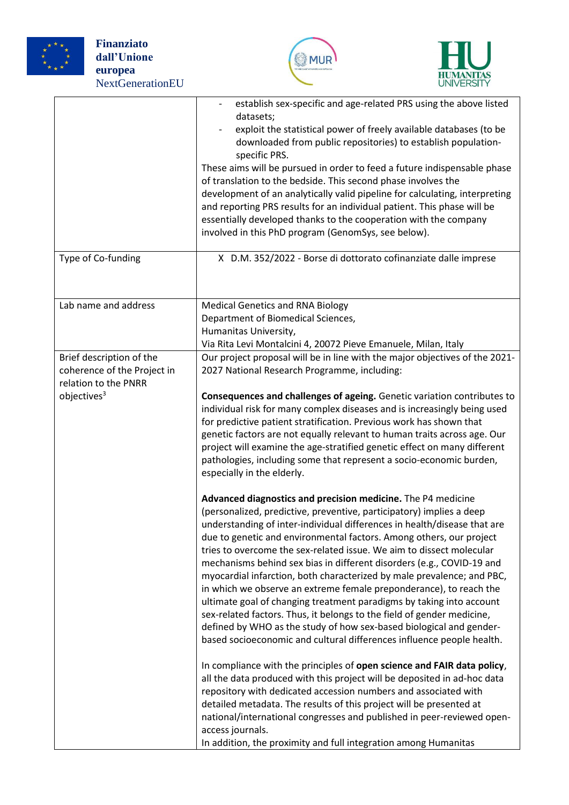





| Type of Co-funding                                                              | establish sex-specific and age-related PRS using the above listed<br>datasets;<br>exploit the statistical power of freely available databases (to be<br>downloaded from public repositories) to establish population-<br>specific PRS.<br>These aims will be pursued in order to feed a future indispensable phase<br>of translation to the bedside. This second phase involves the<br>development of an analytically valid pipeline for calculating, interpreting<br>and reporting PRS results for an individual patient. This phase will be<br>essentially developed thanks to the cooperation with the company<br>involved in this PhD program (GenomSys, see below).<br>X D.M. 352/2022 - Borse di dottorato cofinanziate dalle imprese                                                                                                                                                |
|---------------------------------------------------------------------------------|--------------------------------------------------------------------------------------------------------------------------------------------------------------------------------------------------------------------------------------------------------------------------------------------------------------------------------------------------------------------------------------------------------------------------------------------------------------------------------------------------------------------------------------------------------------------------------------------------------------------------------------------------------------------------------------------------------------------------------------------------------------------------------------------------------------------------------------------------------------------------------------------|
|                                                                                 |                                                                                                                                                                                                                                                                                                                                                                                                                                                                                                                                                                                                                                                                                                                                                                                                                                                                                            |
| Lab name and address                                                            | <b>Medical Genetics and RNA Biology</b><br>Department of Biomedical Sciences,<br>Humanitas University,<br>Via Rita Levi Montalcini 4, 20072 Pieve Emanuele, Milan, Italy                                                                                                                                                                                                                                                                                                                                                                                                                                                                                                                                                                                                                                                                                                                   |
| Brief description of the<br>coherence of the Project in<br>relation to the PNRR | Our project proposal will be in line with the major objectives of the 2021-<br>2027 National Research Programme, including:                                                                                                                                                                                                                                                                                                                                                                                                                                                                                                                                                                                                                                                                                                                                                                |
| objectives <sup>3</sup>                                                         | Consequences and challenges of ageing. Genetic variation contributes to<br>individual risk for many complex diseases and is increasingly being used<br>for predictive patient stratification. Previous work has shown that<br>genetic factors are not equally relevant to human traits across age. Our<br>project will examine the age-stratified genetic effect on many different<br>pathologies, including some that represent a socio-economic burden,<br>especially in the elderly.                                                                                                                                                                                                                                                                                                                                                                                                    |
|                                                                                 | Advanced diagnostics and precision medicine. The P4 medicine<br>(personalized, predictive, preventive, participatory) implies a deep<br>understanding of inter-individual differences in health/disease that are<br>due to genetic and environmental factors. Among others, our project<br>tries to overcome the sex-related issue. We aim to dissect molecular<br>mechanisms behind sex bias in different disorders (e.g., COVID-19 and<br>myocardial infarction, both characterized by male prevalence; and PBC,<br>in which we observe an extreme female preponderance), to reach the<br>ultimate goal of changing treatment paradigms by taking into account<br>sex-related factors. Thus, it belongs to the field of gender medicine,<br>defined by WHO as the study of how sex-based biological and gender-<br>based socioeconomic and cultural differences influence people health. |
|                                                                                 | In compliance with the principles of open science and FAIR data policy,<br>all the data produced with this project will be deposited in ad-hoc data<br>repository with dedicated accession numbers and associated with<br>detailed metadata. The results of this project will be presented at<br>national/international congresses and published in peer-reviewed open-<br>access journals.<br>In addition, the proximity and full integration among Humanitas                                                                                                                                                                                                                                                                                                                                                                                                                             |